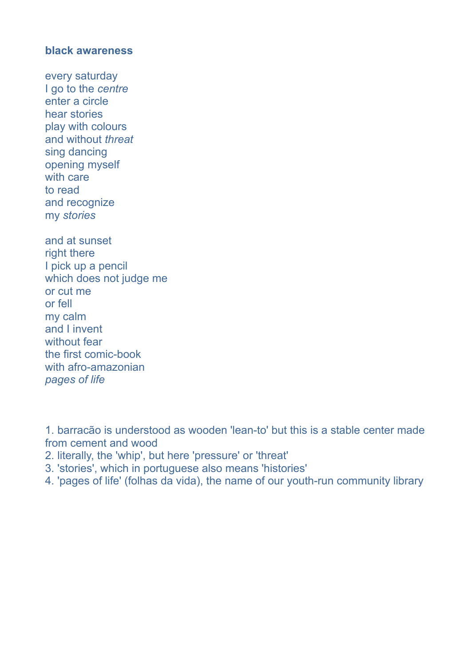## **black awareness**

every saturday I go to the *centre*  enter a circle hear stories play with colours and without *threat* sing dancing opening myself with care to read and recognize my *stories*

and at sunset right there I pick up a pencil which does not judge me or cut me or fell my calm and I invent without fear the first comic-book with afro-amazonian *pages of life* 

1. barracão is understood as wooden 'lean-to' but this is a stable center made from cement and wood

- 2. literally, the 'whip', but here 'pressure' or 'threat'
- 3. 'stories', which in portuguese also means 'histories'
- 4. 'pages of life' (folhas da vida), the name of our youth-run community library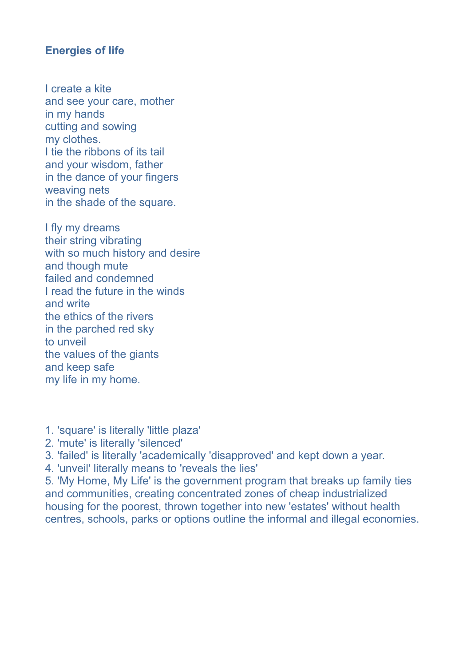## **Energies of life**

I create a kite and see your care, mother in my hands cutting and sowing my clothes. I tie the ribbons of its tail and your wisdom, father in the dance of your fingers weaving nets in the shade of the square.

I fly my dreams their string vibrating with so much history and desire and though mute failed and condemned I read the future in the winds and write the ethics of the rivers in the parched red sky to unveil the values of the giants and keep safe my life in my home.

- 1. 'square' is literally 'little plaza'
- 2. 'mute' is literally 'silenced'
- 3. 'failed' is literally 'academically 'disapproved' and kept down a year.
- 4. 'unveil' literally means to 'reveals the lies'

5. 'My Home, My Life' is the government program that breaks up family ties and communities, creating concentrated zones of cheap industrialized housing for the poorest, thrown together into new 'estates' without health centres, schools, parks or options outline the informal and illegal economies.